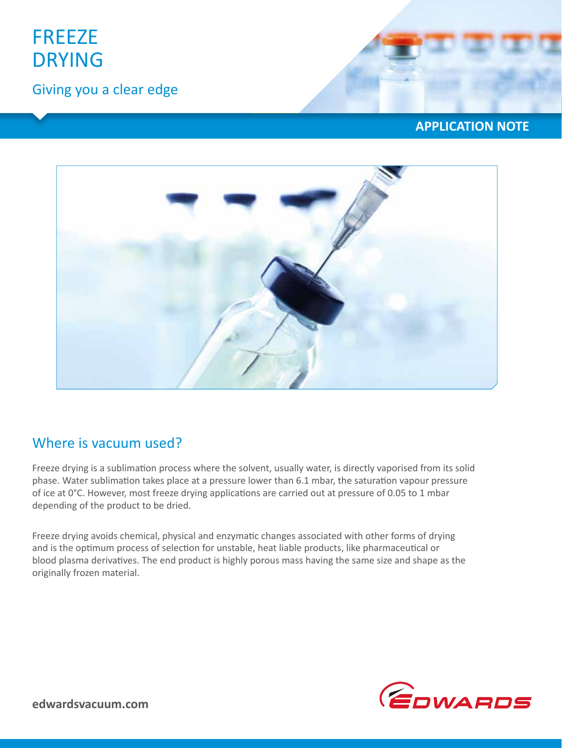

Giving you a clear edge





### Where is vacuum used?

Freeze drying is a sublimation process where the solvent, usually water, is directly vaporised from its solid phase. Water sublimation takes place at a pressure lower than 6.1 mbar, the saturation vapour pressure of ice at 0°C. However, most freeze drying applications are carried out at pressure of 0.05 to 1 mbar depending of the product to be dried.

Freeze drying avoids chemical, physical and enzymatic changes associated with other forms of drying and is the optimum process of selection for unstable, heat liable products, like pharmaceutical or blood plasma derivatives. The end product is highly porous mass having the same size and shape as the originally frozen material.

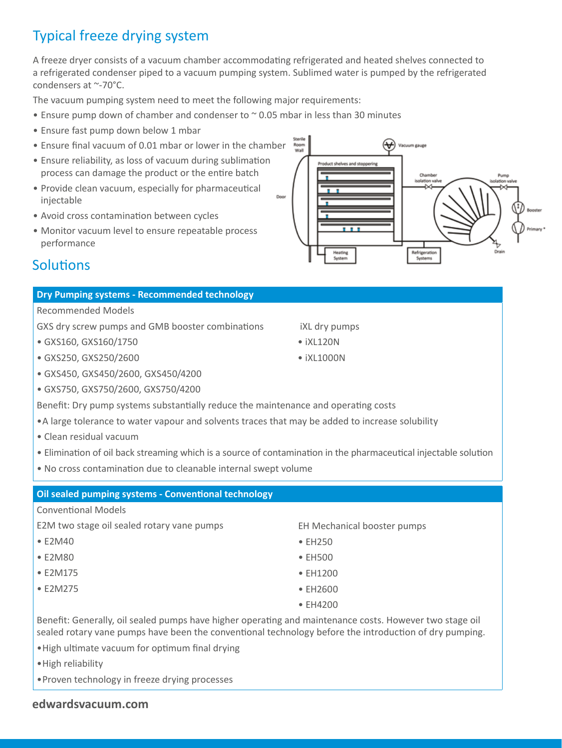# Typical freeze drying system

A freeze dryer consists of a vacuum chamber accommodating refrigerated and heated shelves connected to a refrigerated condenser piped to a vacuum pumping system. Sublimed water is pumped by the refrigerated condensers at ~-70°C.

The vacuum pumping system need to meet the following major requirements:

- Ensure pump down of chamber and condenser to  $\sim$  0.05 mbar in less than 30 minutes
- Ensure fast pump down below 1 mbar
- Ensure final vacuum of 0.01 mbar or lower in the chamber
- Ensure reliability, as loss of vacuum during sublimation process can damage the product or the entire batch
- Provide clean vacuum, especially for pharmaceutical injectable
- Avoid cross contamination between cycles
- Monitor vacuum level to ensure repeatable process performance

# ₩ Vacuum gauge roduct shelves and stoppering Refrigerati<br>Systems

### **Solutions**

### **Dry Pumping systems - Recommended technology**

Recommended Models

GXS dry screw pumps and GMB booster combinations

- GXS160, GXS160/1750
- GXS250, GXS250/2600
- GXS450, GXS450/2600, GXS450/4200
- GXS750, GXS750/2600, GXS750/4200

Benefit: Dry pump systems substantially reduce the maintenance and operating costs

- •A large tolerance to water vapour and solvents traces that may be added to increase solubility
- Clean residual vacuum
- Elimination of oil back streaming which is a source of contamination in the pharmaceutical injectable solution
- No cross contamination due to cleanable internal swept volume

#### **Oil sealed pumping systems - Conventional technology**

#### Conventional Models

E2M two stage oil sealed rotary vane pumps

- E2M40
- E2M80
- E2M175
- E2M275

EH Mechanical booster pumps

- EH250
- EH500
- EH1200
- EH2600
- EH4200

Benefit: Generally, oil sealed pumps have higher operating and maintenance costs. However two stage oil sealed rotary vane pumps have been the conventional technology before the introduction of dry pumping.

- •High ultimate vacuum for optimum final drying
- •High reliability
- •Proven technology in freeze drying processes

#### **edwardsvacuum.com**

- iXL dry pumps
- $\bullet$  iXI 120N
- $\bullet$  iXI 1000N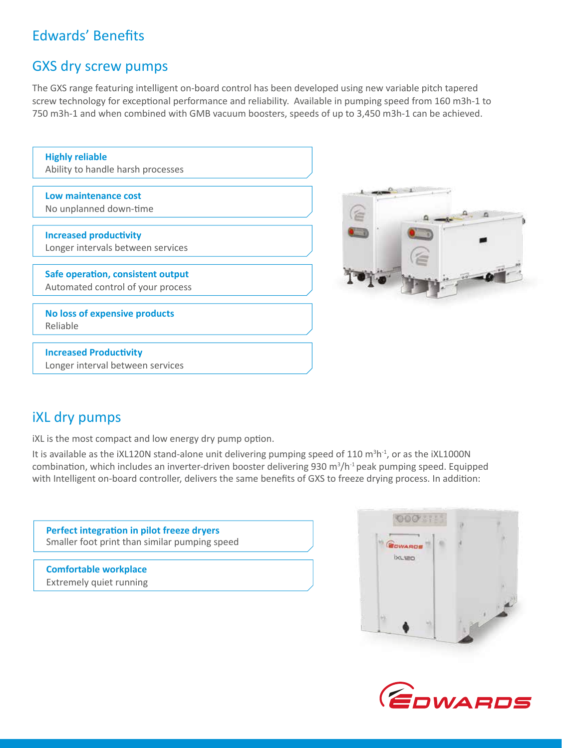# Edwards' Benefits

### GXS dry screw pumps

The GXS range featuring intelligent on-board control has been developed using new variable pitch tapered screw technology for exceptional performance and reliability. Available in pumping speed from 160 m3h-1 to 750 m3h-1 and when combined with GMB vacuum boosters, speeds of up to 3,450 m3h-1 can be achieved.

| <b>Highly reliable</b><br>Ability to handle harsh processes |
|-------------------------------------------------------------|
|                                                             |
| Low maintenance cost                                        |
| No unplanned down-time                                      |
|                                                             |
| <b>Increased productivity</b>                               |
| Longer intervals between services                           |
|                                                             |
| Safe operation, consistent output                           |
| Automated control of your process                           |
|                                                             |
| No loss of expensive products                               |
| Reliable                                                    |
|                                                             |
|                                                             |
| <b>Increased Productivity</b>                               |
| Longer interval between services                            |
|                                                             |



# iXL dry pumps

iXL is the most compact and low energy dry pump option.

It is available as the iXL120N stand-alone unit delivering pumping speed of 110 m<sup>3</sup>h<sup>-1</sup>, or as the iXL1000N combination, which includes an inverter-driven booster delivering 930  $m^3/h^1$  peak pumping speed. Equipped with Intelligent on-board controller, delivers the same benefits of GXS to freeze drying process. In addition:

**Perfect integration in pilot freeze dryers**  Smaller foot print than similar pumping speed

**Comfortable workplace** Extremely quiet running